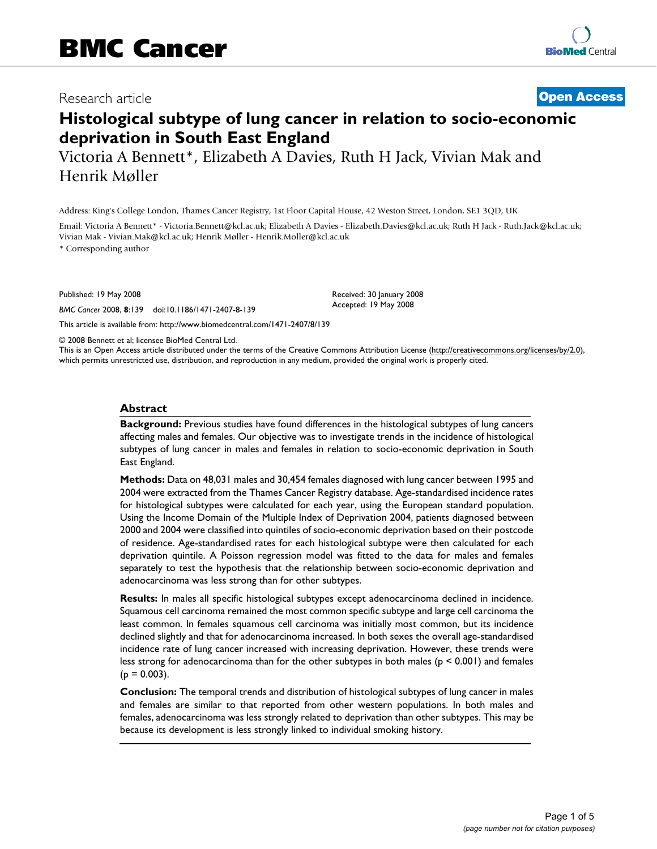# Research article **[Open Access](http://www.biomedcentral.com/info/about/charter/) Histological subtype of lung cancer in relation to socio-economic**

**deprivation in South East England** Victoria A Bennett\*, Elizabeth A Davies, Ruth H Jack, Vivian Mak and Henrik Møller

Address: King's College London, Thames Cancer Registry, 1st Floor Capital House, 42 Weston Street, London, SE1 3QD, UK

Email: Victoria A Bennett\* - Victoria.Bennett@kcl.ac.uk; Elizabeth A Davies - Elizabeth.Davies@kcl.ac.uk; Ruth H Jack - Ruth.Jack@kcl.ac.uk; Vivian Mak - Vivian.Mak@kcl.ac.uk; Henrik Møller - Henrik.Moller@kcl.ac.uk

\* Corresponding author

Published: 19 May 2008

*BMC Cancer* 2008, **8**:139 doi:10.1186/1471-2407-8-139

[This article is available from: http://www.biomedcentral.com/1471-2407/8/139](http://www.biomedcentral.com/1471-2407/8/139)

© 2008 Bennett et al; licensee BioMed Central Ltd.

This is an Open Access article distributed under the terms of the Creative Commons Attribution License [\(http://creativecommons.org/licenses/by/2.0\)](http://creativecommons.org/licenses/by/2.0), which permits unrestricted use, distribution, and reproduction in any medium, provided the original work is properly cited.

Received: 30 January 2008 Accepted: 19 May 2008

#### **Abstract**

**Background:** Previous studies have found differences in the histological subtypes of lung cancers affecting males and females. Our objective was to investigate trends in the incidence of histological subtypes of lung cancer in males and females in relation to socio-economic deprivation in South East England.

**Methods:** Data on 48,031 males and 30,454 females diagnosed with lung cancer between 1995 and 2004 were extracted from the Thames Cancer Registry database. Age-standardised incidence rates for histological subtypes were calculated for each year, using the European standard population. Using the Income Domain of the Multiple Index of Deprivation 2004, patients diagnosed between 2000 and 2004 were classified into quintiles of socio-economic deprivation based on their postcode of residence. Age-standardised rates for each histological subtype were then calculated for each deprivation quintile. A Poisson regression model was fitted to the data for males and females separately to test the hypothesis that the relationship between socio-economic deprivation and adenocarcinoma was less strong than for other subtypes.

**Results:** In males all specific histological subtypes except adenocarcinoma declined in incidence. Squamous cell carcinoma remained the most common specific subtype and large cell carcinoma the least common. In females squamous cell carcinoma was initially most common, but its incidence declined slightly and that for adenocarcinoma increased. In both sexes the overall age-standardised incidence rate of lung cancer increased with increasing deprivation. However, these trends were less strong for adenocarcinoma than for the other subtypes in both males ( $p \le 0.001$ ) and females  $(p = 0.003)$ .

**Conclusion:** The temporal trends and distribution of histological subtypes of lung cancer in males and females are similar to that reported from other western populations. In both males and females, adenocarcinoma was less strongly related to deprivation than other subtypes. This may be because its development is less strongly linked to individual smoking history.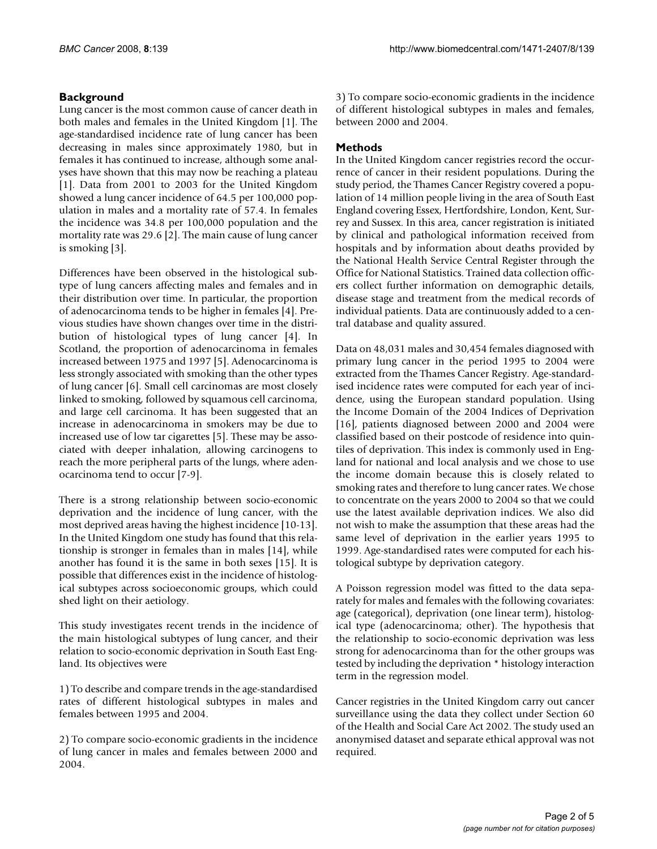## **Background**

Lung cancer is the most common cause of cancer death in both males and females in the United Kingdom [1]. The age-standardised incidence rate of lung cancer has been decreasing in males since approximately 1980, but in females it has continued to increase, although some analyses have shown that this may now be reaching a plateau [1]. Data from 2001 to 2003 for the United Kingdom showed a lung cancer incidence of 64.5 per 100,000 population in males and a mortality rate of 57.4. In females the incidence was 34.8 per 100,000 population and the mortality rate was 29.6 [2]. The main cause of lung cancer is smoking [3].

Differences have been observed in the histological subtype of lung cancers affecting males and females and in their distribution over time. In particular, the proportion of adenocarcinoma tends to be higher in females [4]. Previous studies have shown changes over time in the distribution of histological types of lung cancer [4]. In Scotland, the proportion of adenocarcinoma in females increased between 1975 and 1997 [5]. Adenocarcinoma is less strongly associated with smoking than the other types of lung cancer [6]. Small cell carcinomas are most closely linked to smoking, followed by squamous cell carcinoma, and large cell carcinoma. It has been suggested that an increase in adenocarcinoma in smokers may be due to increased use of low tar cigarettes [5]. These may be associated with deeper inhalation, allowing carcinogens to reach the more peripheral parts of the lungs, where adenocarcinoma tend to occur [7-9].

There is a strong relationship between socio-economic deprivation and the incidence of lung cancer, with the most deprived areas having the highest incidence [10-13]. In the United Kingdom one study has found that this relationship is stronger in females than in males [14], while another has found it is the same in both sexes [15]. It is possible that differences exist in the incidence of histological subtypes across socioeconomic groups, which could shed light on their aetiology.

This study investigates recent trends in the incidence of the main histological subtypes of lung cancer, and their relation to socio-economic deprivation in South East England. Its objectives were

1) To describe and compare trends in the age-standardised rates of different histological subtypes in males and females between 1995 and 2004.

2) To compare socio-economic gradients in the incidence of lung cancer in males and females between 2000 and 2004.

3) To compare socio-economic gradients in the incidence of different histological subtypes in males and females, between 2000 and 2004.

## **Methods**

In the United Kingdom cancer registries record the occurrence of cancer in their resident populations. During the study period, the Thames Cancer Registry covered a population of 14 million people living in the area of South East England covering Essex, Hertfordshire, London, Kent, Surrey and Sussex. In this area, cancer registration is initiated by clinical and pathological information received from hospitals and by information about deaths provided by the National Health Service Central Register through the Office for National Statistics. Trained data collection officers collect further information on demographic details, disease stage and treatment from the medical records of individual patients. Data are continuously added to a central database and quality assured.

Data on 48,031 males and 30,454 females diagnosed with primary lung cancer in the period 1995 to 2004 were extracted from the Thames Cancer Registry. Age-standardised incidence rates were computed for each year of incidence, using the European standard population. Using the Income Domain of the 2004 Indices of Deprivation [16], patients diagnosed between 2000 and 2004 were classified based on their postcode of residence into quintiles of deprivation. This index is commonly used in England for national and local analysis and we chose to use the income domain because this is closely related to smoking rates and therefore to lung cancer rates. We chose to concentrate on the years 2000 to 2004 so that we could use the latest available deprivation indices. We also did not wish to make the assumption that these areas had the same level of deprivation in the earlier years 1995 to 1999. Age-standardised rates were computed for each histological subtype by deprivation category.

A Poisson regression model was fitted to the data separately for males and females with the following covariates: age (categorical), deprivation (one linear term), histological type (adenocarcinoma; other). The hypothesis that the relationship to socio-economic deprivation was less strong for adenocarcinoma than for the other groups was tested by including the deprivation \* histology interaction term in the regression model.

Cancer registries in the United Kingdom carry out cancer surveillance using the data they collect under Section 60 of the Health and Social Care Act 2002. The study used an anonymised dataset and separate ethical approval was not required.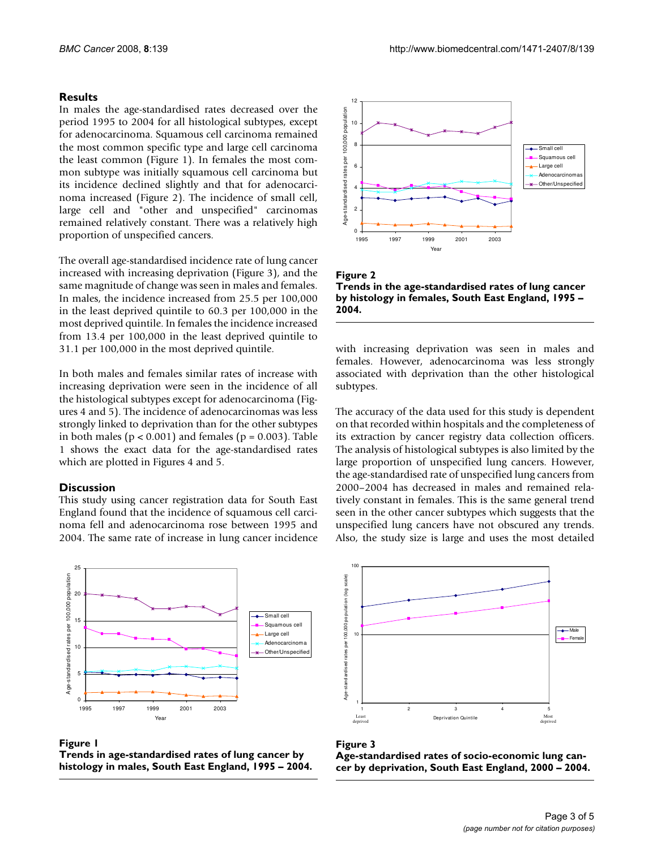## **Results**

In males the age-standardised rates decreased over the period 1995 to 2004 for all histological subtypes, except for adenocarcinoma. Squamous cell carcinoma remained the most common specific type and large cell carcinoma the least common (Figure 1). In females the most common subtype was initially squamous cell carcinoma but its incidence declined slightly and that for adenocarcinoma increased (Figure 2). The incidence of small cell, large cell and "other and unspecified" carcinomas remained relatively constant. There was a relatively high proportion of unspecified cancers.

The overall age-standardised incidence rate of lung cancer increased with increasing deprivation (Figure 3), and the same magnitude of change was seen in males and females. In males, the incidence increased from 25.5 per 100,000 in the least deprived quintile to 60.3 per 100,000 in the most deprived quintile. In females the incidence increased from 13.4 per 100,000 in the least deprived quintile to 31.1 per 100,000 in the most deprived quintile.

In both males and females similar rates of increase with increasing deprivation were seen in the incidence of all the histological subtypes except for adenocarcinoma (Figures 4 and 5). The incidence of adenocarcinomas was less strongly linked to deprivation than for the other subtypes in both males ( $p < 0.001$ ) and females ( $p = 0.003$ ). Table 1 shows the exact data for the age-standardised rates which are plotted in Figures 4 and 5.

## **Discussion**

This study using cancer registration data for South East England found that the incidence of squamous cell carcinoma fell and adenocarcinoma rose between 1995 and 2004. The same rate of increase in lung cancer incidence



Figure 1 **Trends in age-standardised rates of lung cancer by histology in males, South East England, 1995 – 2004.**



Figure 2 **Trends in the age-standardised rates of lung cancer by histology in females, South East England, 1995 – 2004.**

with increasing deprivation was seen in males and females. However, adenocarcinoma was less strongly associated with deprivation than the other histological subtypes.

The accuracy of the data used for this study is dependent on that recorded within hospitals and the completeness of its extraction by cancer registry data collection officers. The analysis of histological subtypes is also limited by the large proportion of unspecified lung cancers. However, the age-standardised rate of unspecified lung cancers from 2000–2004 has decreased in males and remained relatively constant in females. This is the same general trend seen in the other cancer subtypes which suggests that the unspecified lung cancers have not obscured any trends. Also, the study size is large and uses the most detailed



#### Figure 3

**Age-standardised rates of socio-economic lung cancer by deprivation, South East England, 2000 – 2004.**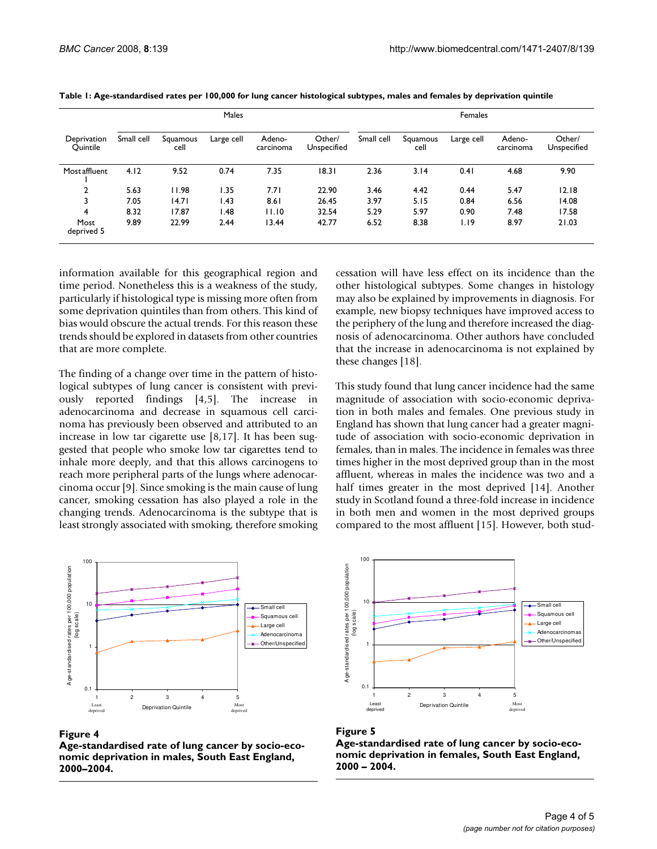|                         | Males      |                  |            |                     |                       | Females    |                  |            |                     |                       |
|-------------------------|------------|------------------|------------|---------------------|-----------------------|------------|------------------|------------|---------------------|-----------------------|
| Deprivation<br>Quintile | Small cell | Squamous<br>cell | Large cell | Adeno-<br>carcinoma | Other/<br>Unspecified | Small cell | Squamous<br>cell | Large cell | Adeno-<br>carcinoma | Other/<br>Unspecified |
| Mostaffluent            | 4.12       | 9.52             | 0.74       | 7.35                | 18.31                 | 2.36       | 3.14             | 0.41       | 4.68                | 9.90                  |
| 2                       | 5.63       | 11.98            | 1.35       | 7.71                | 22.90                 | 3.46       | 4.42             | 0.44       | 5.47                | 12.18                 |
|                         | 7.05       | 14.71            | .43        | 8.61                | 26.45                 | 3.97       | 5.15             | 0.84       | 6.56                | 14.08                 |
| 4                       | 8.32       | 17.87            | .48        | 11.10               | 32.54                 | 5.29       | 5.97             | 0.90       | 7.48                | 17.58                 |
| Most<br>deprived 5      | 9.89       | 22.99            | 2.44       | 13.44               | 42.77                 | 6.52       | 8.38             | 1.19       | 8.97                | 21.03                 |

**Table 1: Age-standardised rates per 100,000 for lung cancer histological subtypes, males and females by deprivation quintile**

information available for this geographical region and time period. Nonetheless this is a weakness of the study, particularly if histological type is missing more often from some deprivation quintiles than from others. This kind of bias would obscure the actual trends. For this reason these trends should be explored in datasets from other countries that are more complete.

The finding of a change over time in the pattern of histological subtypes of lung cancer is consistent with previously reported findings [4,5]. The increase in adenocarcinoma and decrease in squamous cell carcinoma has previously been observed and attributed to an increase in low tar cigarette use [8,17]. It has been suggested that people who smoke low tar cigarettes tend to inhale more deeply, and that this allows carcinogens to reach more peripheral parts of the lungs where adenocarcinoma occur [9]. Since smoking is the main cause of lung cancer, smoking cessation has also played a role in the changing trends. Adenocarcinoma is the subtype that is least strongly associated with smoking, therefore smoking

100 Age-standardised rates per 100,000 population Age-standardised rates per 100,000 population 10 Small cell (log scale) (log scale) Squamous cell Large cell Adenocarcinoma Other/Unspecified 1 0.1 12345 Least Deprivation Quintile Mos deprive deprived

### Figure 4

**Age-standardised rate of lung cancer by socio-economic deprivation in males, South East England, 2000–2004.**

cessation will have less effect on its incidence than the other histological subtypes. Some changes in histology may also be explained by improvements in diagnosis. For example, new biopsy techniques have improved access to the periphery of the lung and therefore increased the diagnosis of adenocarcinoma. Other authors have concluded that the increase in adenocarcinoma is not explained by these changes [18].

This study found that lung cancer incidence had the same magnitude of association with socio-economic deprivation in both males and females. One previous study in England has shown that lung cancer had a greater magnitude of association with socio-economic deprivation in females, than in males. The incidence in females was three times higher in the most deprived group than in the most affluent, whereas in males the incidence was two and a half times greater in the most deprived [14]. Another study in Scotland found a three-fold increase in incidence in both men and women in the most deprived groups compared to the most affluent [15]. However, both stud-





**Age-standardised rate of lung cancer by socio-economic deprivation in females, South East England, 2000 – 2004.**